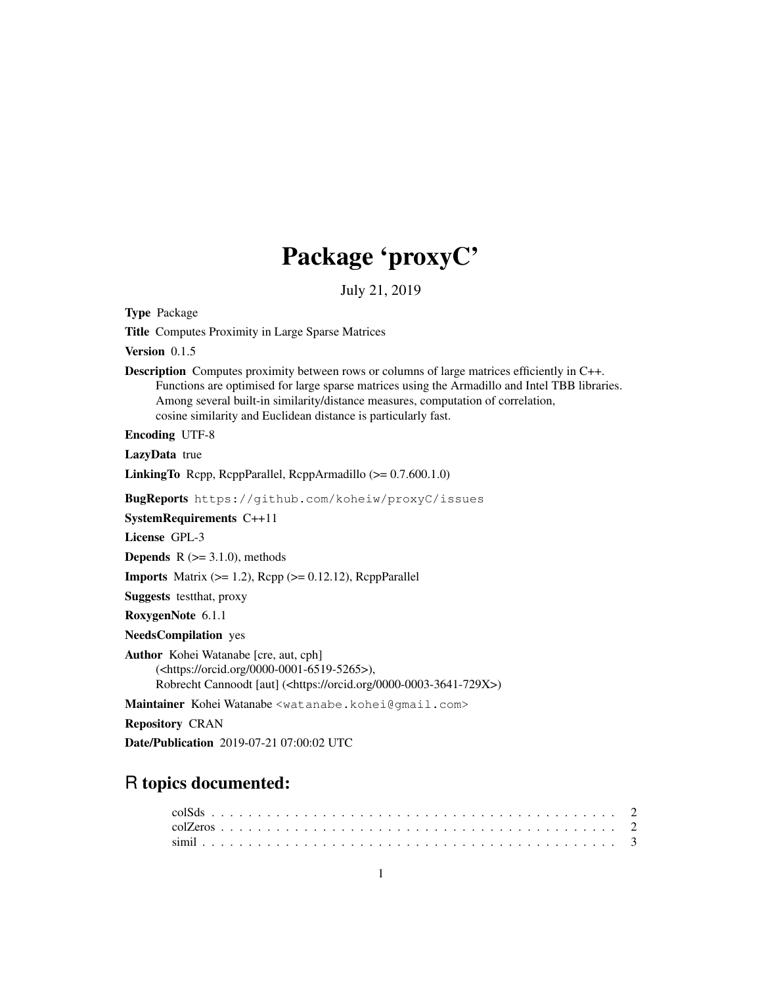# Package 'proxyC'

July 21, 2019

Type Package

Title Computes Proximity in Large Sparse Matrices

Version 0.1.5

Description Computes proximity between rows or columns of large matrices efficiently in C++. Functions are optimised for large sparse matrices using the Armadillo and Intel TBB libraries. Among several built-in similarity/distance measures, computation of correlation, cosine similarity and Euclidean distance is particularly fast.

Encoding UTF-8

LazyData true

LinkingTo Rcpp, RcppParallel, RcppArmadillo (>= 0.7.600.1.0)

BugReports https://github.com/koheiw/proxyC/issues

SystemRequirements C++11

License GPL-3

**Depends**  $R$  ( $>= 3.1.0$ ), methods

**Imports** Matrix  $(>= 1.2)$ , Rcpp  $(>= 0.12.12)$ , RcppParallel

Suggests testthat, proxy

RoxygenNote 6.1.1

NeedsCompilation yes

Author Kohei Watanabe [cre, aut, cph] (<https://orcid.org/0000-0001-6519-5265>), Robrecht Cannoodt [aut] (<https://orcid.org/0000-0003-3641-729X>)

Maintainer Kohei Watanabe <watanabe.kohei@gmail.com>

Repository CRAN

Date/Publication 2019-07-21 07:00:02 UTC

# R topics documented: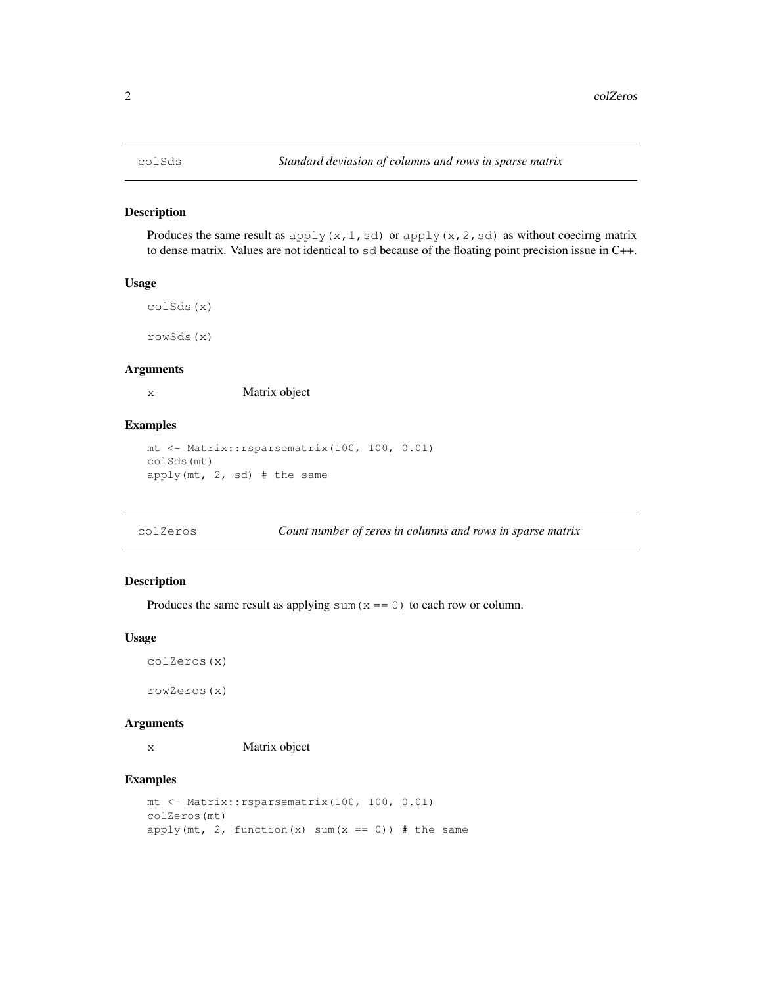# Description

Produces the same result as  $apply(x,1,sd)$  or  $apply(x,2,sd)$  as without coecirng matrix to dense matrix. Values are not identical to sd because of the floating point precision issue in C++.

#### Usage

colSds(x)

rowSds(x)

# Arguments

x Matrix object

### Examples

```
mt <- Matrix::rsparsematrix(100, 100, 0.01)
colSds(mt)
apply(mt, 2, sd) # the same
```
colZeros *Count number of zeros in columns and rows in sparse matrix*

# Description

Produces the same result as applying sum ( $x = 0$ ) to each row or column.

# Usage

colZeros(x)

rowZeros(x)

#### Arguments

x Matrix object

# Examples

```
mt <- Matrix::rsparsematrix(100, 100, 0.01)
colZeros(mt)
apply(mt, 2, function(x) sum(x == 0)) # the same
```